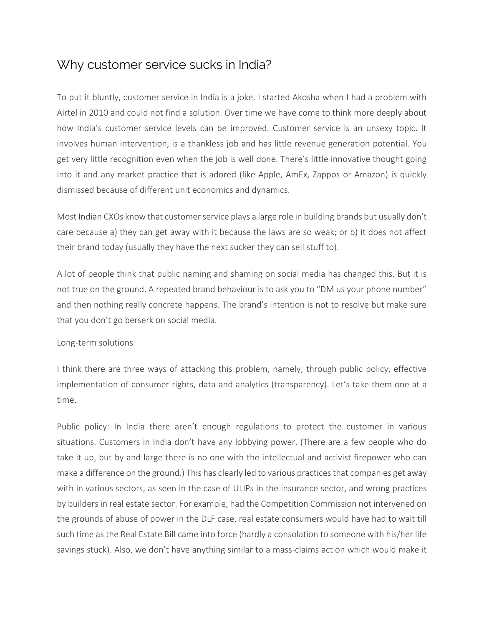## Why customer service sucks in India?

To put it bluntly, customer service in India is a joke. I started Akosha when I had a problem with Airtel in 2010 and could not find a solution. Over time we have come to think more deeply about how India's customer service levels can be improved. Customer service is an unsexy topic. It involves human intervention, is a thankless job and has little revenue generation potential. You get very little recognition even when the job is well done. There's little innovative thought going into it and any market practice that is adored (like Apple, AmEx, Zappos or Amazon) is quickly dismissed because of different unit economics and dynamics.

Most Indian CXOs know that customer service plays a large role in building brands but usually don't care because a) they can get away with it because the laws are so weak; or b) it does not affect their brand today (usually they have the next sucker they can sell stuff to).

A lot of people think that public naming and shaming on social media has changed this. But it is not true on the ground. A repeated brand behaviour is to ask you to "DM us your phone number" and then nothing really concrete happens. The brand's intention is not to resolve but make sure that you don't go berserk on social media.

## Long-term solutions

I think there are three ways of attacking this problem, namely, through public policy, effective implementation of consumer rights, data and analytics (transparency). Let's take them one at a time.

Public policy: In India there aren't enough regulations to protect the customer in various situations. Customers in India don't have any lobbying power. (There are a few people who do take it up, but by and large there is no one with the intellectual and activist firepower who can make a difference on the ground.) This has clearly led to various practices that companies get away with in various sectors, as seen in the case of ULIPs in the insurance sector, and wrong practices by builders in real estate sector. For example, had the Competition Commission not intervened on the grounds of abuse of power in the DLF case, real estate consumers would have had to wait till such time as the Real Estate Bill came into force (hardly a consolation to someone with his/her life savings stuck). Also, we don't have anything similar to a mass-claims action which would make it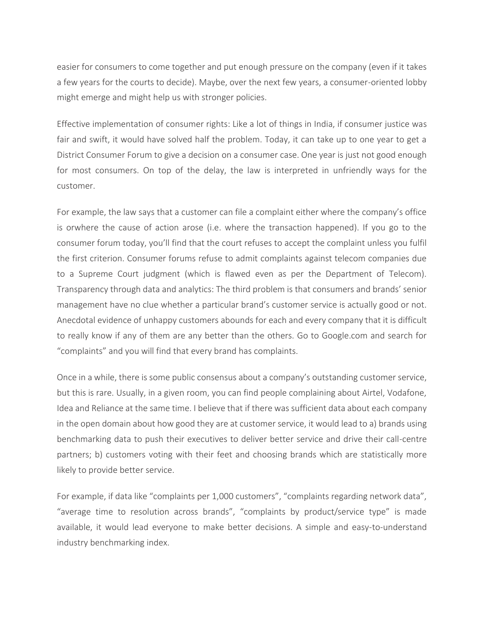easier for consumers to come together and put enough pressure on the company (even if it takes a few years for the courts to decide). Maybe, over the next few years, a consumer-oriented lobby might emerge and might help us with stronger policies.

Effective implementation of consumer rights: Like a lot of things in India, if consumer justice was fair and swift, it would have solved half the problem. Today, it can take up to one year to get a District Consumer Forum to give a decision on a consumer case. One year is just not good enough for most consumers. On top of the delay, the law is interpreted in unfriendly ways for the customer.

For example, the law says that a customer can file a complaint either where the company's office is orwhere the cause of action arose (i.e. where the transaction happened). If you go to the consumer forum today, you'll find that the court refuses to accept the complaint unless you fulfil the first criterion. Consumer forums refuse to admit complaints against telecom companies due to a Supreme Court judgment (which is flawed even as per the Department of Telecom). Transparency through data and analytics: The third problem is that consumers and brands' senior management have no clue whether a particular brand's customer service is actually good or not. Anecdotal evidence of unhappy customers abounds for each and every company that it is difficult to really know if any of them are any better than the others. Go to Google.com and search for "complaints" and you will find that every brand has complaints.

Once in a while, there is some public consensus about a company's outstanding customer service, but this is rare. Usually, in a given room, you can find people complaining about Airtel, Vodafone, Idea and Reliance at the same time. I believe that if there was sufficient data about each company in the open domain about how good they are at customer service, it would lead to a) brands using benchmarking data to push their executives to deliver better service and drive their call-centre partners; b) customers voting with their feet and choosing brands which are statistically more likely to provide better service.

For example, if data like "complaints per 1,000 customers", "complaints regarding network data", "average time to resolution across brands", "complaints by product/service type" is made available, it would lead everyone to make better decisions. A simple and easy-to-understand industry benchmarking index.